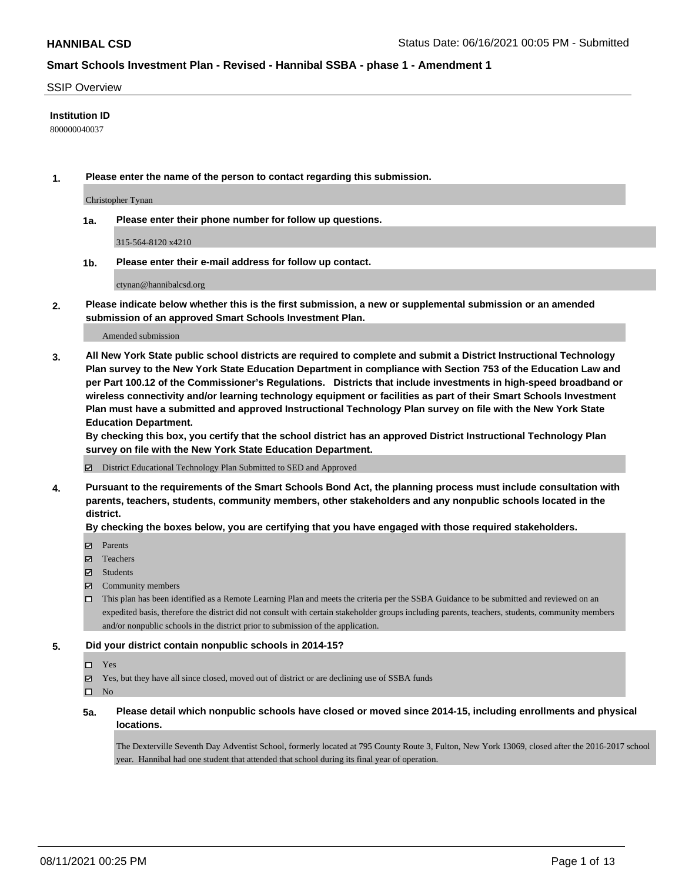### SSIP Overview

### **Institution ID**

800000040037

**1. Please enter the name of the person to contact regarding this submission.**

Christopher Tynan

**1a. Please enter their phone number for follow up questions.**

315-564-8120 x4210

**1b. Please enter their e-mail address for follow up contact.**

ctynan@hannibalcsd.org

**2. Please indicate below whether this is the first submission, a new or supplemental submission or an amended submission of an approved Smart Schools Investment Plan.**

#### Amended submission

**3. All New York State public school districts are required to complete and submit a District Instructional Technology Plan survey to the New York State Education Department in compliance with Section 753 of the Education Law and per Part 100.12 of the Commissioner's Regulations. Districts that include investments in high-speed broadband or wireless connectivity and/or learning technology equipment or facilities as part of their Smart Schools Investment Plan must have a submitted and approved Instructional Technology Plan survey on file with the New York State Education Department.** 

**By checking this box, you certify that the school district has an approved District Instructional Technology Plan survey on file with the New York State Education Department.**

District Educational Technology Plan Submitted to SED and Approved

**4. Pursuant to the requirements of the Smart Schools Bond Act, the planning process must include consultation with parents, teachers, students, community members, other stakeholders and any nonpublic schools located in the district.** 

### **By checking the boxes below, you are certifying that you have engaged with those required stakeholders.**

- **Parents**
- Teachers
- Students
- $\boxtimes$  Community members
- This plan has been identified as a Remote Learning Plan and meets the criteria per the SSBA Guidance to be submitted and reviewed on an expedited basis, therefore the district did not consult with certain stakeholder groups including parents, teachers, students, community members and/or nonpublic schools in the district prior to submission of the application.

### **5. Did your district contain nonpublic schools in 2014-15?**

- □ Yes
- Yes, but they have all since closed, moved out of district or are declining use of SSBA funds

 $\Box$  No

**5a. Please detail which nonpublic schools have closed or moved since 2014-15, including enrollments and physical locations.**

The Dexterville Seventh Day Adventist School, formerly located at 795 County Route 3, Fulton, New York 13069, closed after the 2016-2017 school year. Hannibal had one student that attended that school during its final year of operation.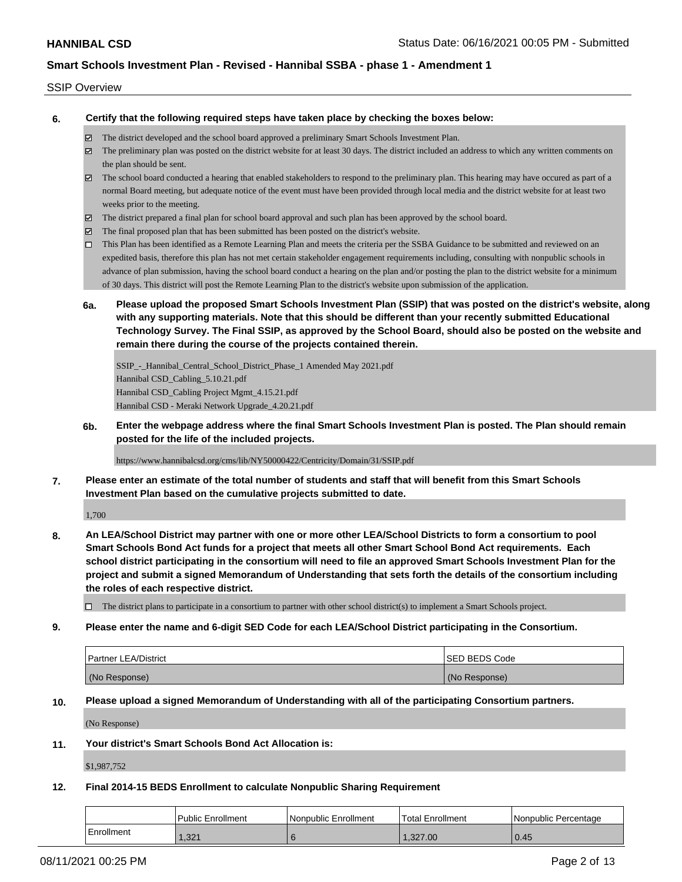### SSIP Overview

**6. Certify that the following required steps have taken place by checking the boxes below:**

- The district developed and the school board approved a preliminary Smart Schools Investment Plan.
- The preliminary plan was posted on the district website for at least 30 days. The district included an address to which any written comments on the plan should be sent.
- $\boxtimes$  The school board conducted a hearing that enabled stakeholders to respond to the preliminary plan. This hearing may have occured as part of a normal Board meeting, but adequate notice of the event must have been provided through local media and the district website for at least two weeks prior to the meeting.
- The district prepared a final plan for school board approval and such plan has been approved by the school board.
- $\boxtimes$  The final proposed plan that has been submitted has been posted on the district's website.
- This Plan has been identified as a Remote Learning Plan and meets the criteria per the SSBA Guidance to be submitted and reviewed on an expedited basis, therefore this plan has not met certain stakeholder engagement requirements including, consulting with nonpublic schools in advance of plan submission, having the school board conduct a hearing on the plan and/or posting the plan to the district website for a minimum of 30 days. This district will post the Remote Learning Plan to the district's website upon submission of the application.
- **6a. Please upload the proposed Smart Schools Investment Plan (SSIP) that was posted on the district's website, along with any supporting materials. Note that this should be different than your recently submitted Educational Technology Survey. The Final SSIP, as approved by the School Board, should also be posted on the website and remain there during the course of the projects contained therein.**

SSIP\_-\_Hannibal\_Central\_School\_District\_Phase\_1 Amended May 2021.pdf Hannibal CSD\_Cabling\_5.10.21.pdf Hannibal CSD\_Cabling Project Mgmt\_4.15.21.pdf Hannibal CSD - Meraki Network Upgrade\_4.20.21.pdf

**6b. Enter the webpage address where the final Smart Schools Investment Plan is posted. The Plan should remain posted for the life of the included projects.**

https://www.hannibalcsd.org/cms/lib/NY50000422/Centricity/Domain/31/SSIP.pdf

**7. Please enter an estimate of the total number of students and staff that will benefit from this Smart Schools Investment Plan based on the cumulative projects submitted to date.**

1,700

**8. An LEA/School District may partner with one or more other LEA/School Districts to form a consortium to pool Smart Schools Bond Act funds for a project that meets all other Smart School Bond Act requirements. Each school district participating in the consortium will need to file an approved Smart Schools Investment Plan for the project and submit a signed Memorandum of Understanding that sets forth the details of the consortium including the roles of each respective district.**

 $\Box$  The district plans to participate in a consortium to partner with other school district(s) to implement a Smart Schools project.

**9. Please enter the name and 6-digit SED Code for each LEA/School District participating in the Consortium.**

| <b>Partner LEA/District</b> | <b>ISED BEDS Code</b> |
|-----------------------------|-----------------------|
| (No Response)               | (No Response)         |

**10. Please upload a signed Memorandum of Understanding with all of the participating Consortium partners.**

(No Response)

**11. Your district's Smart Schools Bond Act Allocation is:**

\$1,987,752

**12. Final 2014-15 BEDS Enrollment to calculate Nonpublic Sharing Requirement**

|            | Public Enrollment | Nonpublic Enrollment | 'Total Enrollment | l Nonpublic Percentage |
|------------|-------------------|----------------------|-------------------|------------------------|
| Enrollment | 1,321             |                      | .327.00           | 0.45                   |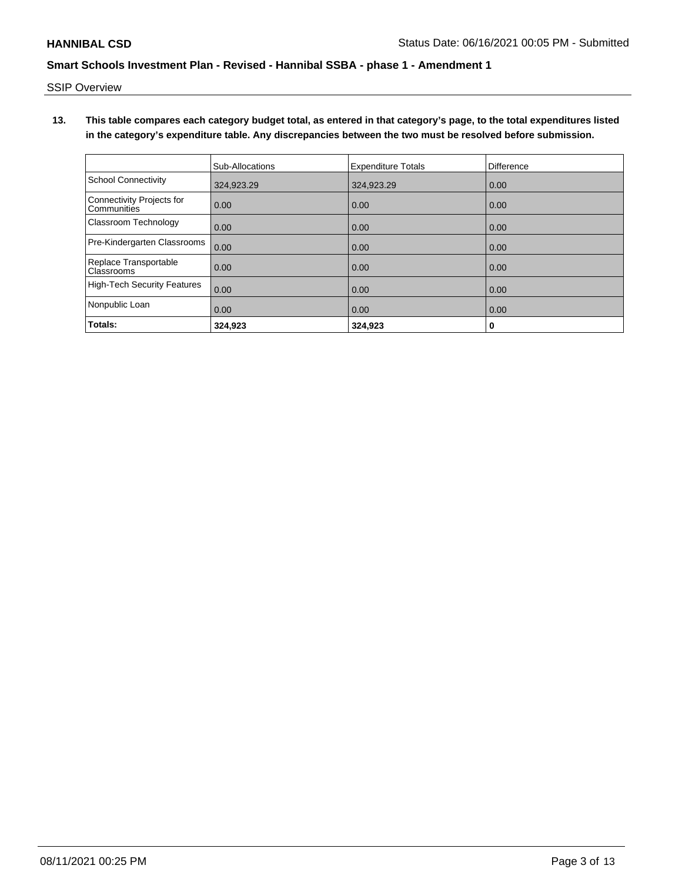SSIP Overview

**13. This table compares each category budget total, as entered in that category's page, to the total expenditures listed in the category's expenditure table. Any discrepancies between the two must be resolved before submission.**

|                                                 | Sub-Allocations | <b>Expenditure Totals</b> | <b>Difference</b> |
|-------------------------------------------------|-----------------|---------------------------|-------------------|
| <b>School Connectivity</b>                      | 324,923.29      | 324,923.29                | 0.00              |
| <b>Connectivity Projects for</b><br>Communities | 0.00            | 0.00                      | 0.00              |
| Classroom Technology                            | 0.00            | 0.00                      | 0.00              |
| Pre-Kindergarten Classrooms                     | 0.00            | 0.00                      | 0.00              |
| Replace Transportable<br>Classrooms             | 0.00            | 0.00                      | 0.00              |
| <b>High-Tech Security Features</b>              | 0.00            | 0.00                      | 0.00              |
| Nonpublic Loan                                  | 0.00            | 0.00                      | 0.00              |
| Totals:                                         | 324.923         | 324.923                   | 0                 |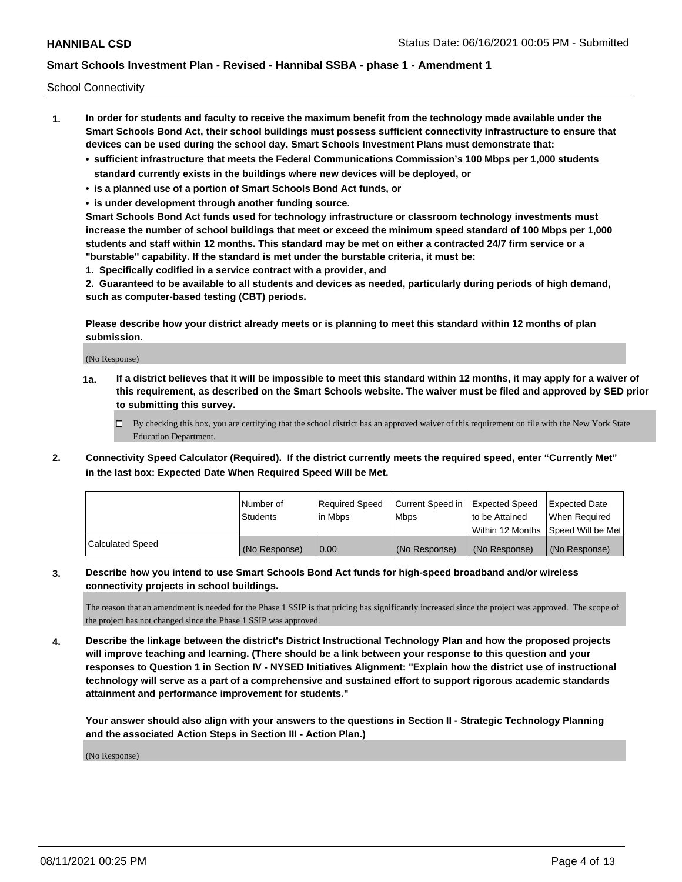School Connectivity

- **1. In order for students and faculty to receive the maximum benefit from the technology made available under the Smart Schools Bond Act, their school buildings must possess sufficient connectivity infrastructure to ensure that devices can be used during the school day. Smart Schools Investment Plans must demonstrate that:**
	- **• sufficient infrastructure that meets the Federal Communications Commission's 100 Mbps per 1,000 students standard currently exists in the buildings where new devices will be deployed, or**
	- **• is a planned use of a portion of Smart Schools Bond Act funds, or**
	- **• is under development through another funding source.**

**Smart Schools Bond Act funds used for technology infrastructure or classroom technology investments must increase the number of school buildings that meet or exceed the minimum speed standard of 100 Mbps per 1,000 students and staff within 12 months. This standard may be met on either a contracted 24/7 firm service or a "burstable" capability. If the standard is met under the burstable criteria, it must be:**

**1. Specifically codified in a service contract with a provider, and**

**2. Guaranteed to be available to all students and devices as needed, particularly during periods of high demand, such as computer-based testing (CBT) periods.**

**Please describe how your district already meets or is planning to meet this standard within 12 months of plan submission.**

(No Response)

**1a. If a district believes that it will be impossible to meet this standard within 12 months, it may apply for a waiver of this requirement, as described on the Smart Schools website. The waiver must be filed and approved by SED prior to submitting this survey.**

 $\Box$  By checking this box, you are certifying that the school district has an approved waiver of this requirement on file with the New York State Education Department.

**2. Connectivity Speed Calculator (Required). If the district currently meets the required speed, enter "Currently Met" in the last box: Expected Date When Required Speed Will be Met.**

|                  | l Number of     | Required Speed | Current Speed in | Expected Speed | Expected Date                        |
|------------------|-----------------|----------------|------------------|----------------|--------------------------------------|
|                  | <b>Students</b> | In Mbps        | <b>Mbps</b>      | to be Attained | When Required                        |
|                  |                 |                |                  |                | Within 12 Months 1Speed Will be Met1 |
| Calculated Speed | (No Response)   | 0.00           | (No Response)    | (No Response)  | l (No Response)                      |

## **3. Describe how you intend to use Smart Schools Bond Act funds for high-speed broadband and/or wireless connectivity projects in school buildings.**

The reason that an amendment is needed for the Phase 1 SSIP is that pricing has significantly increased since the project was approved. The scope of the project has not changed since the Phase 1 SSIP was approved.

**4. Describe the linkage between the district's District Instructional Technology Plan and how the proposed projects will improve teaching and learning. (There should be a link between your response to this question and your responses to Question 1 in Section IV - NYSED Initiatives Alignment: "Explain how the district use of instructional technology will serve as a part of a comprehensive and sustained effort to support rigorous academic standards attainment and performance improvement for students."** 

**Your answer should also align with your answers to the questions in Section II - Strategic Technology Planning and the associated Action Steps in Section III - Action Plan.)**

(No Response)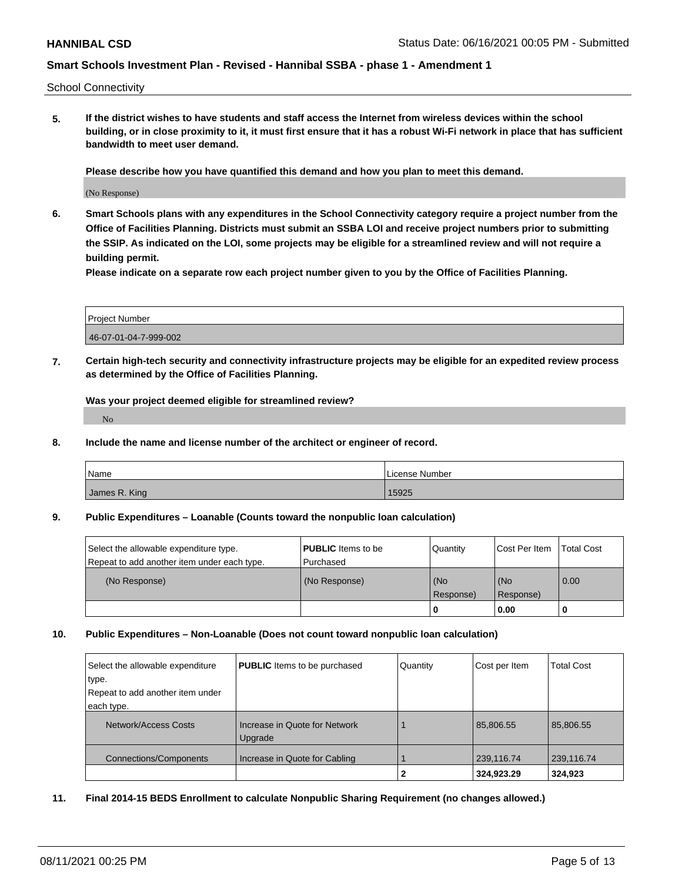School Connectivity

**5. If the district wishes to have students and staff access the Internet from wireless devices within the school building, or in close proximity to it, it must first ensure that it has a robust Wi-Fi network in place that has sufficient bandwidth to meet user demand.**

**Please describe how you have quantified this demand and how you plan to meet this demand.**

(No Response)

**6. Smart Schools plans with any expenditures in the School Connectivity category require a project number from the Office of Facilities Planning. Districts must submit an SSBA LOI and receive project numbers prior to submitting the SSIP. As indicated on the LOI, some projects may be eligible for a streamlined review and will not require a building permit.**

**Please indicate on a separate row each project number given to you by the Office of Facilities Planning.**

| Project Number        |  |
|-----------------------|--|
| 46-07-01-04-7-999-002 |  |

**7. Certain high-tech security and connectivity infrastructure projects may be eligible for an expedited review process as determined by the Office of Facilities Planning.**

**Was your project deemed eligible for streamlined review?**

No

**8. Include the name and license number of the architect or engineer of record.**

| Name          | License Number |
|---------------|----------------|
| James R. King | 15925          |

### **9. Public Expenditures – Loanable (Counts toward the nonpublic loan calculation)**

| Select the allowable expenditure type.<br>Repeat to add another item under each type. | <b>PUBLIC</b> Items to be<br>l Purchased | Quantity  | <b>Cost Per Item</b> | Total Cost |
|---------------------------------------------------------------------------------------|------------------------------------------|-----------|----------------------|------------|
| (No Response)                                                                         | (No Response)                            | (No       | (No                  | 0.00       |
|                                                                                       |                                          | Response) | Response)            |            |
|                                                                                       |                                          | -0        | 0.00                 |            |

### **10. Public Expenditures – Non-Loanable (Does not count toward nonpublic loan calculation)**

| Select the allowable expenditure<br>type.<br>Repeat to add another item under<br>each type. | <b>PUBLIC</b> Items to be purchased      | Quantity | Cost per Item | <b>Total Cost</b> |
|---------------------------------------------------------------------------------------------|------------------------------------------|----------|---------------|-------------------|
| Network/Access Costs                                                                        | Increase in Quote for Network<br>Upgrade |          | 85,806.55     | 85.806.55         |
| Connections/Components                                                                      | Increase in Quote for Cabling            |          | 239,116.74    | 239,116.74        |
|                                                                                             |                                          |          | 324,923.29    | 324.923           |

**11. Final 2014-15 BEDS Enrollment to calculate Nonpublic Sharing Requirement (no changes allowed.)**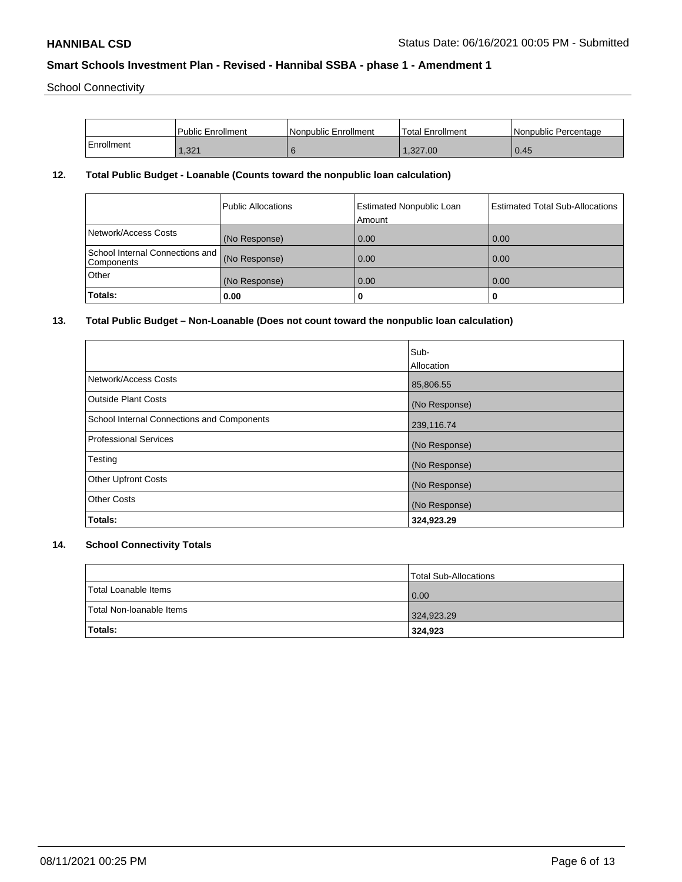School Connectivity

|            | l Public Enrollment | l Nonpublic Enrollment | Total Enrollment | Nonpublic Percentage |
|------------|---------------------|------------------------|------------------|----------------------|
| Enrollment | .321                |                        | 1.327.00         | $\mid$ 0.45          |

## **12. Total Public Budget - Loanable (Counts toward the nonpublic loan calculation)**

|                                                             | Public Allocations | <b>Estimated Nonpublic Loan</b><br>Amount | Estimated Total Sub-Allocations |
|-------------------------------------------------------------|--------------------|-------------------------------------------|---------------------------------|
| Network/Access Costs                                        | (No Response)      | 0.00                                      | 0.00                            |
| School Internal Connections and (No Response)<br>Components |                    | 0.00                                      | 0.00                            |
| Other                                                       | (No Response)      | 0.00                                      | 0.00                            |
| Totals:                                                     | 0.00               | 0                                         |                                 |

## **13. Total Public Budget – Non-Loanable (Does not count toward the nonpublic loan calculation)**

|                                            | Sub-          |
|--------------------------------------------|---------------|
|                                            | Allocation    |
| Network/Access Costs                       | 85,806.55     |
| <b>Outside Plant Costs</b>                 | (No Response) |
| School Internal Connections and Components | 239,116.74    |
| <b>Professional Services</b>               | (No Response) |
| Testing                                    | (No Response) |
| <b>Other Upfront Costs</b>                 | (No Response) |
| <b>Other Costs</b>                         | (No Response) |
| Totals:                                    | 324,923.29    |

# **14. School Connectivity Totals**

|                          | Total Sub-Allocations |
|--------------------------|-----------------------|
| Total Loanable Items     | 0.00                  |
| Total Non-Ioanable Items | 324,923.29            |
| <b>Totals:</b>           | 324,923               |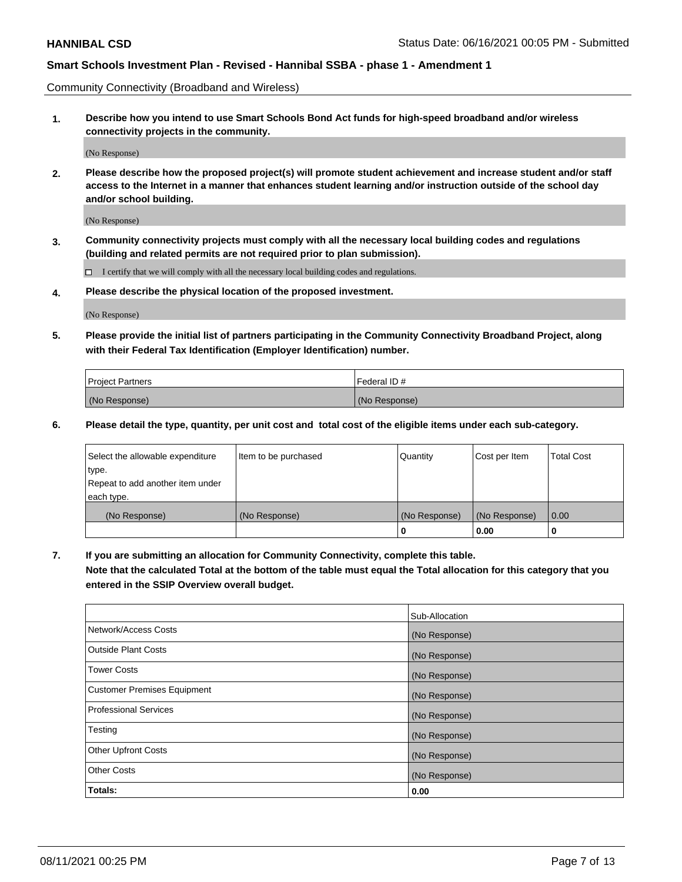Community Connectivity (Broadband and Wireless)

**1. Describe how you intend to use Smart Schools Bond Act funds for high-speed broadband and/or wireless connectivity projects in the community.**

(No Response)

**2. Please describe how the proposed project(s) will promote student achievement and increase student and/or staff access to the Internet in a manner that enhances student learning and/or instruction outside of the school day and/or school building.**

(No Response)

**3. Community connectivity projects must comply with all the necessary local building codes and regulations (building and related permits are not required prior to plan submission).**

 $\Box$  I certify that we will comply with all the necessary local building codes and regulations.

**4. Please describe the physical location of the proposed investment.**

(No Response)

**5. Please provide the initial list of partners participating in the Community Connectivity Broadband Project, along with their Federal Tax Identification (Employer Identification) number.**

| <b>Project Partners</b> | l Federal ID # |
|-------------------------|----------------|
| (No Response)           | (No Response)  |

**6. Please detail the type, quantity, per unit cost and total cost of the eligible items under each sub-category.**

| Select the allowable expenditure | Item to be purchased | Quantity      | Cost per Item | <b>Total Cost</b> |
|----------------------------------|----------------------|---------------|---------------|-------------------|
| type.                            |                      |               |               |                   |
| Repeat to add another item under |                      |               |               |                   |
| each type.                       |                      |               |               |                   |
| (No Response)                    | (No Response)        | (No Response) | (No Response) | 0.00              |
|                                  |                      | o             | 0.00          |                   |

**7. If you are submitting an allocation for Community Connectivity, complete this table.**

**Note that the calculated Total at the bottom of the table must equal the Total allocation for this category that you entered in the SSIP Overview overall budget.**

|                                    | Sub-Allocation |
|------------------------------------|----------------|
| Network/Access Costs               | (No Response)  |
| Outside Plant Costs                | (No Response)  |
| <b>Tower Costs</b>                 | (No Response)  |
| <b>Customer Premises Equipment</b> | (No Response)  |
| <b>Professional Services</b>       | (No Response)  |
| Testing                            | (No Response)  |
| <b>Other Upfront Costs</b>         | (No Response)  |
| <b>Other Costs</b>                 | (No Response)  |
| Totals:                            | 0.00           |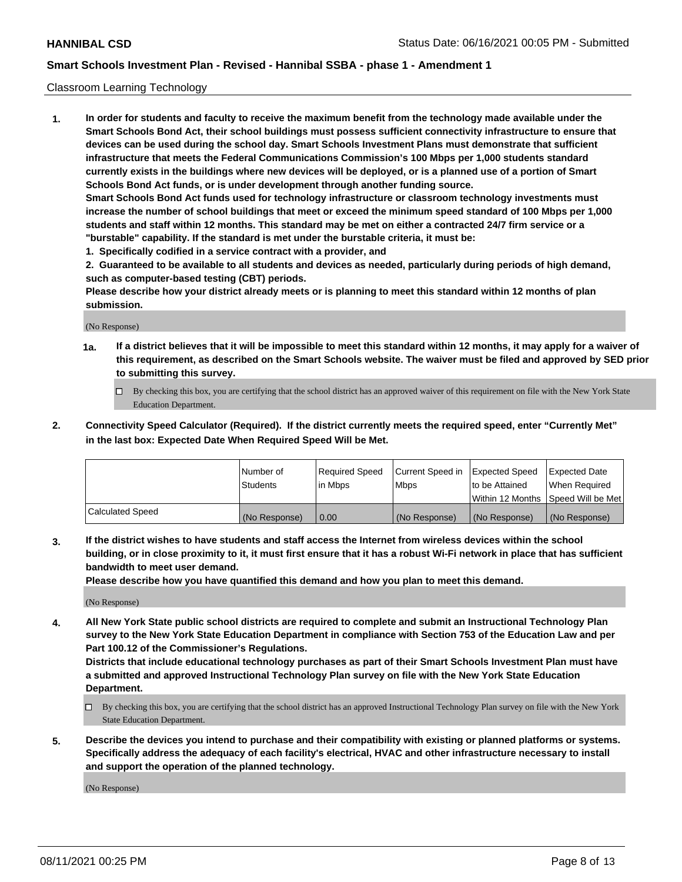### Classroom Learning Technology

**1. In order for students and faculty to receive the maximum benefit from the technology made available under the Smart Schools Bond Act, their school buildings must possess sufficient connectivity infrastructure to ensure that devices can be used during the school day. Smart Schools Investment Plans must demonstrate that sufficient infrastructure that meets the Federal Communications Commission's 100 Mbps per 1,000 students standard currently exists in the buildings where new devices will be deployed, or is a planned use of a portion of Smart Schools Bond Act funds, or is under development through another funding source. Smart Schools Bond Act funds used for technology infrastructure or classroom technology investments must increase the number of school buildings that meet or exceed the minimum speed standard of 100 Mbps per 1,000 students and staff within 12 months. This standard may be met on either a contracted 24/7 firm service or a**

- **"burstable" capability. If the standard is met under the burstable criteria, it must be:**
- **1. Specifically codified in a service contract with a provider, and**

**2. Guaranteed to be available to all students and devices as needed, particularly during periods of high demand, such as computer-based testing (CBT) periods.**

**Please describe how your district already meets or is planning to meet this standard within 12 months of plan submission.**

(No Response)

- **1a. If a district believes that it will be impossible to meet this standard within 12 months, it may apply for a waiver of this requirement, as described on the Smart Schools website. The waiver must be filed and approved by SED prior to submitting this survey.**
	- By checking this box, you are certifying that the school district has an approved waiver of this requirement on file with the New York State Education Department.
- **2. Connectivity Speed Calculator (Required). If the district currently meets the required speed, enter "Currently Met" in the last box: Expected Date When Required Speed Will be Met.**

|                  | l Number of     | Required Speed | Current Speed in | <b>Expected Speed</b> | <b>Expected Date</b>                |
|------------------|-----------------|----------------|------------------|-----------------------|-------------------------------------|
|                  | <b>Students</b> | l in Mbps      | l Mbps           | to be Attained        | When Required                       |
|                  |                 |                |                  |                       | Within 12 Months  Speed Will be Met |
| Calculated Speed | (No Response)   | 0.00           | (No Response)    | l (No Response)       | (No Response)                       |

**3. If the district wishes to have students and staff access the Internet from wireless devices within the school building, or in close proximity to it, it must first ensure that it has a robust Wi-Fi network in place that has sufficient bandwidth to meet user demand.**

**Please describe how you have quantified this demand and how you plan to meet this demand.**

(No Response)

**4. All New York State public school districts are required to complete and submit an Instructional Technology Plan survey to the New York State Education Department in compliance with Section 753 of the Education Law and per Part 100.12 of the Commissioner's Regulations.**

**Districts that include educational technology purchases as part of their Smart Schools Investment Plan must have a submitted and approved Instructional Technology Plan survey on file with the New York State Education Department.**

- By checking this box, you are certifying that the school district has an approved Instructional Technology Plan survey on file with the New York State Education Department.
- **5. Describe the devices you intend to purchase and their compatibility with existing or planned platforms or systems. Specifically address the adequacy of each facility's electrical, HVAC and other infrastructure necessary to install and support the operation of the planned technology.**

(No Response)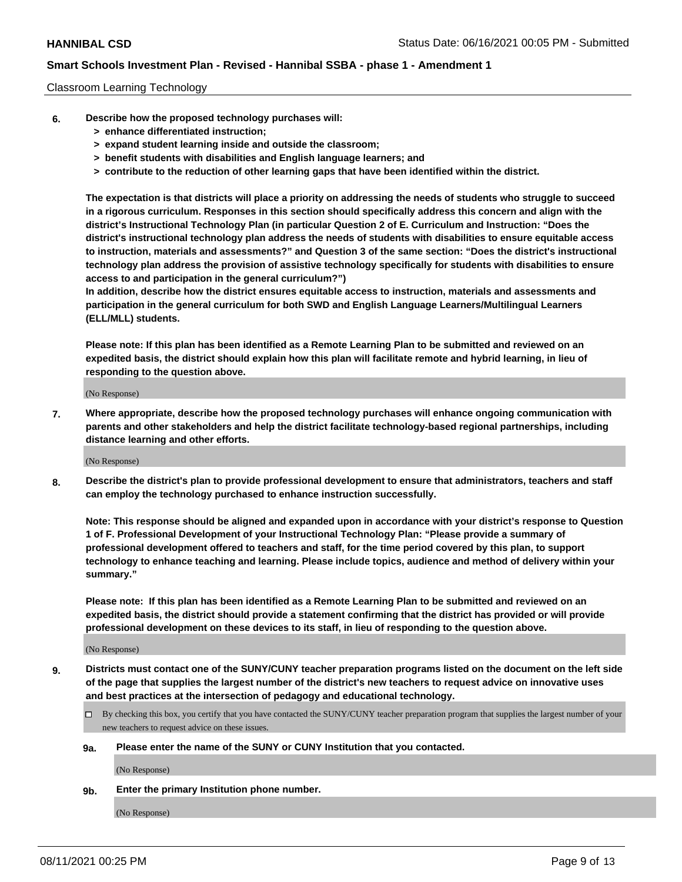### Classroom Learning Technology

- **6. Describe how the proposed technology purchases will:**
	- **> enhance differentiated instruction;**
	- **> expand student learning inside and outside the classroom;**
	- **> benefit students with disabilities and English language learners; and**
	- **> contribute to the reduction of other learning gaps that have been identified within the district.**

**The expectation is that districts will place a priority on addressing the needs of students who struggle to succeed in a rigorous curriculum. Responses in this section should specifically address this concern and align with the district's Instructional Technology Plan (in particular Question 2 of E. Curriculum and Instruction: "Does the district's instructional technology plan address the needs of students with disabilities to ensure equitable access to instruction, materials and assessments?" and Question 3 of the same section: "Does the district's instructional technology plan address the provision of assistive technology specifically for students with disabilities to ensure access to and participation in the general curriculum?")**

**In addition, describe how the district ensures equitable access to instruction, materials and assessments and participation in the general curriculum for both SWD and English Language Learners/Multilingual Learners (ELL/MLL) students.**

**Please note: If this plan has been identified as a Remote Learning Plan to be submitted and reviewed on an expedited basis, the district should explain how this plan will facilitate remote and hybrid learning, in lieu of responding to the question above.**

(No Response)

**7. Where appropriate, describe how the proposed technology purchases will enhance ongoing communication with parents and other stakeholders and help the district facilitate technology-based regional partnerships, including distance learning and other efforts.**

(No Response)

**8. Describe the district's plan to provide professional development to ensure that administrators, teachers and staff can employ the technology purchased to enhance instruction successfully.**

**Note: This response should be aligned and expanded upon in accordance with your district's response to Question 1 of F. Professional Development of your Instructional Technology Plan: "Please provide a summary of professional development offered to teachers and staff, for the time period covered by this plan, to support technology to enhance teaching and learning. Please include topics, audience and method of delivery within your summary."**

**Please note: If this plan has been identified as a Remote Learning Plan to be submitted and reviewed on an expedited basis, the district should provide a statement confirming that the district has provided or will provide professional development on these devices to its staff, in lieu of responding to the question above.**

(No Response)

- **9. Districts must contact one of the SUNY/CUNY teacher preparation programs listed on the document on the left side of the page that supplies the largest number of the district's new teachers to request advice on innovative uses and best practices at the intersection of pedagogy and educational technology.**
	- $\Box$  By checking this box, you certify that you have contacted the SUNY/CUNY teacher preparation program that supplies the largest number of your new teachers to request advice on these issues.

### **9a. Please enter the name of the SUNY or CUNY Institution that you contacted.**

(No Response)

**9b. Enter the primary Institution phone number.**

(No Response)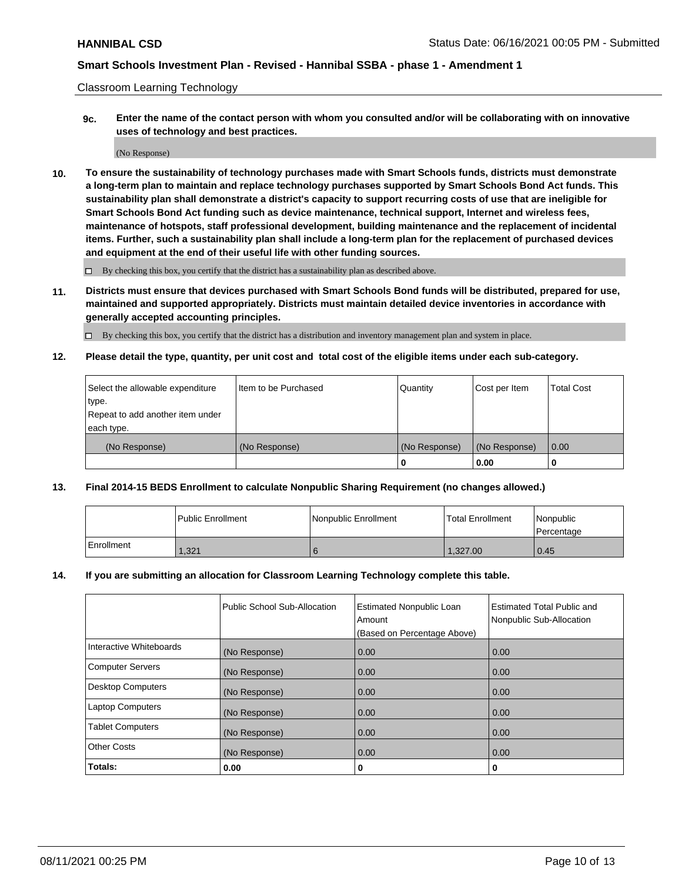Classroom Learning Technology

**9c. Enter the name of the contact person with whom you consulted and/or will be collaborating with on innovative uses of technology and best practices.**

(No Response)

**10. To ensure the sustainability of technology purchases made with Smart Schools funds, districts must demonstrate a long-term plan to maintain and replace technology purchases supported by Smart Schools Bond Act funds. This sustainability plan shall demonstrate a district's capacity to support recurring costs of use that are ineligible for Smart Schools Bond Act funding such as device maintenance, technical support, Internet and wireless fees, maintenance of hotspots, staff professional development, building maintenance and the replacement of incidental items. Further, such a sustainability plan shall include a long-term plan for the replacement of purchased devices and equipment at the end of their useful life with other funding sources.**

 $\square$  By checking this box, you certify that the district has a sustainability plan as described above.

**11. Districts must ensure that devices purchased with Smart Schools Bond funds will be distributed, prepared for use, maintained and supported appropriately. Districts must maintain detailed device inventories in accordance with generally accepted accounting principles.**

By checking this box, you certify that the district has a distribution and inventory management plan and system in place.

**12. Please detail the type, quantity, per unit cost and total cost of the eligible items under each sub-category.**

| Select the allowable expenditure | Item to be Purchased | Quantity      | Cost per Item | <b>Total Cost</b> |
|----------------------------------|----------------------|---------------|---------------|-------------------|
| type.                            |                      |               |               |                   |
| Repeat to add another item under |                      |               |               |                   |
| each type.                       |                      |               |               |                   |
| (No Response)                    | (No Response)        | (No Response) | (No Response) | $\overline{0.00}$ |
|                                  |                      |               | 0.00          |                   |

## **13. Final 2014-15 BEDS Enrollment to calculate Nonpublic Sharing Requirement (no changes allowed.)**

|            | l Public Enrollment | Nonpublic Enrollment | <b>Total Enrollment</b> | <i>Nonpublic</i><br>l Percentage |
|------------|---------------------|----------------------|-------------------------|----------------------------------|
| Enrollment | 1,321               |                      | 1.327.00                | 0.45                             |

### **14. If you are submitting an allocation for Classroom Learning Technology complete this table.**

|                          | Public School Sub-Allocation | <b>Estimated Nonpublic Loan</b><br>Amount | <b>Estimated Total Public and</b><br>Nonpublic Sub-Allocation |
|--------------------------|------------------------------|-------------------------------------------|---------------------------------------------------------------|
|                          |                              | (Based on Percentage Above)               |                                                               |
| Interactive Whiteboards  | (No Response)                | 0.00                                      | 0.00                                                          |
| <b>Computer Servers</b>  | (No Response)                | 0.00                                      | 0.00                                                          |
| <b>Desktop Computers</b> | (No Response)                | 0.00                                      | 0.00                                                          |
| <b>Laptop Computers</b>  | (No Response)                | 0.00                                      | 0.00                                                          |
| <b>Tablet Computers</b>  | (No Response)                | 0.00                                      | 0.00                                                          |
| <b>Other Costs</b>       | (No Response)                | 0.00                                      | 0.00                                                          |
| Totals:                  | 0.00                         | 0                                         | 0                                                             |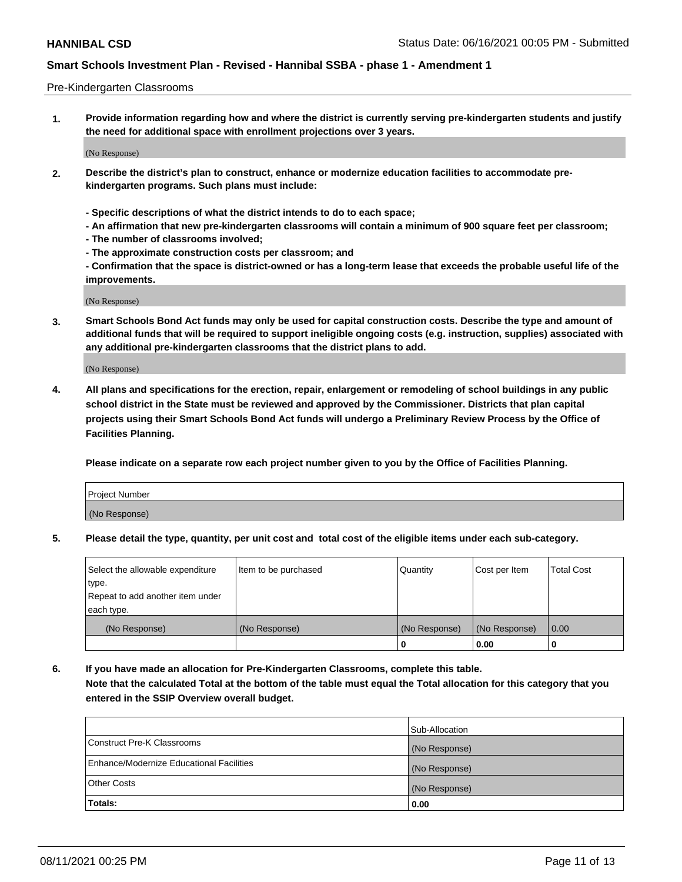### Pre-Kindergarten Classrooms

**1. Provide information regarding how and where the district is currently serving pre-kindergarten students and justify the need for additional space with enrollment projections over 3 years.**

(No Response)

- **2. Describe the district's plan to construct, enhance or modernize education facilities to accommodate prekindergarten programs. Such plans must include:**
	- **Specific descriptions of what the district intends to do to each space;**
	- **An affirmation that new pre-kindergarten classrooms will contain a minimum of 900 square feet per classroom;**
	- **The number of classrooms involved;**
	- **The approximate construction costs per classroom; and**
	- **Confirmation that the space is district-owned or has a long-term lease that exceeds the probable useful life of the improvements.**

(No Response)

**3. Smart Schools Bond Act funds may only be used for capital construction costs. Describe the type and amount of additional funds that will be required to support ineligible ongoing costs (e.g. instruction, supplies) associated with any additional pre-kindergarten classrooms that the district plans to add.**

(No Response)

**4. All plans and specifications for the erection, repair, enlargement or remodeling of school buildings in any public school district in the State must be reviewed and approved by the Commissioner. Districts that plan capital projects using their Smart Schools Bond Act funds will undergo a Preliminary Review Process by the Office of Facilities Planning.**

**Please indicate on a separate row each project number given to you by the Office of Facilities Planning.**

| Project Number |  |
|----------------|--|
| (No Response)  |  |
|                |  |

**5. Please detail the type, quantity, per unit cost and total cost of the eligible items under each sub-category.**

| Select the allowable expenditure | Item to be purchased | Quantity      | Cost per Item | <b>Total Cost</b> |
|----------------------------------|----------------------|---------------|---------------|-------------------|
| type.                            |                      |               |               |                   |
| Repeat to add another item under |                      |               |               |                   |
| each type.                       |                      |               |               |                   |
| (No Response)                    | (No Response)        | (No Response) | (No Response) | 0.00              |
|                                  |                      | υ             | 0.00          |                   |

**6. If you have made an allocation for Pre-Kindergarten Classrooms, complete this table. Note that the calculated Total at the bottom of the table must equal the Total allocation for this category that you entered in the SSIP Overview overall budget.**

|                                          | Sub-Allocation |
|------------------------------------------|----------------|
| Construct Pre-K Classrooms               | (No Response)  |
| Enhance/Modernize Educational Facilities | (No Response)  |
| <b>Other Costs</b>                       | (No Response)  |
| Totals:                                  | 0.00           |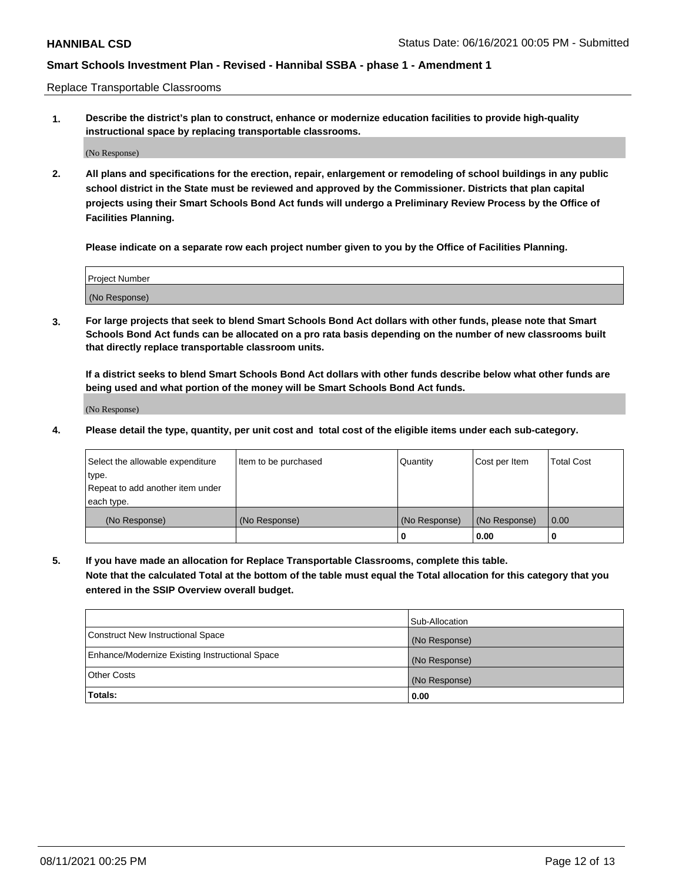Replace Transportable Classrooms

**1. Describe the district's plan to construct, enhance or modernize education facilities to provide high-quality instructional space by replacing transportable classrooms.**

(No Response)

**2. All plans and specifications for the erection, repair, enlargement or remodeling of school buildings in any public school district in the State must be reviewed and approved by the Commissioner. Districts that plan capital projects using their Smart Schools Bond Act funds will undergo a Preliminary Review Process by the Office of Facilities Planning.**

**Please indicate on a separate row each project number given to you by the Office of Facilities Planning.**

| Project Number |  |
|----------------|--|
|                |  |
|                |  |
|                |  |
|                |  |
| (No Response)  |  |
|                |  |
|                |  |
|                |  |

**3. For large projects that seek to blend Smart Schools Bond Act dollars with other funds, please note that Smart Schools Bond Act funds can be allocated on a pro rata basis depending on the number of new classrooms built that directly replace transportable classroom units.**

**If a district seeks to blend Smart Schools Bond Act dollars with other funds describe below what other funds are being used and what portion of the money will be Smart Schools Bond Act funds.**

(No Response)

**4. Please detail the type, quantity, per unit cost and total cost of the eligible items under each sub-category.**

| Select the allowable expenditure | Item to be purchased | Quantity      | Cost per Item | Total Cost |
|----------------------------------|----------------------|---------------|---------------|------------|
| ∣type.                           |                      |               |               |            |
| Repeat to add another item under |                      |               |               |            |
| each type.                       |                      |               |               |            |
| (No Response)                    | (No Response)        | (No Response) | (No Response) | 0.00       |
|                                  |                      | u             | 0.00          |            |

**5. If you have made an allocation for Replace Transportable Classrooms, complete this table. Note that the calculated Total at the bottom of the table must equal the Total allocation for this category that you entered in the SSIP Overview overall budget.**

|                                                | Sub-Allocation |
|------------------------------------------------|----------------|
| Construct New Instructional Space              | (No Response)  |
| Enhance/Modernize Existing Instructional Space | (No Response)  |
| Other Costs                                    | (No Response)  |
| Totals:                                        | 0.00           |